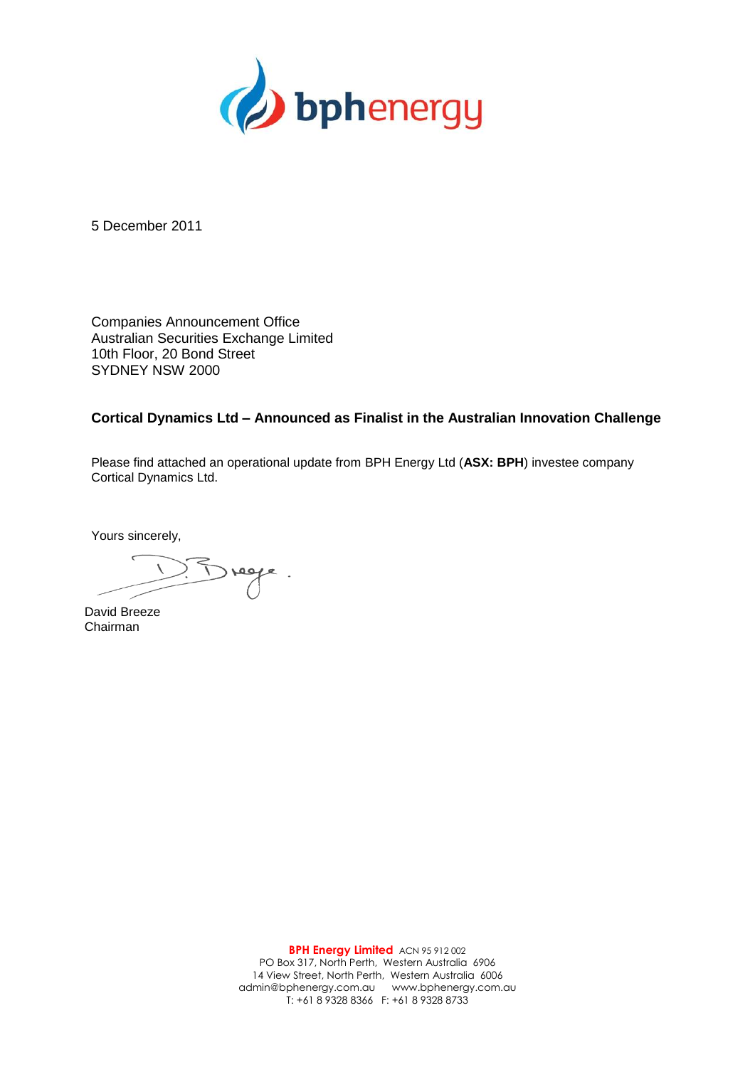

5 December 2011

Companies Announcement Office Australian Securities Exchange Limited 10th Floor, 20 Bond Street SYDNEY NSW 2000

## **Cortical Dynamics Ltd – Announced as Finalist in the Australian Innovation Challenge**

Please find attached an operational update from BPH Energy Ltd (**ASX: BPH**) investee company Cortical Dynamics Ltd.

Yours sincerely,

David Breeze Chairman

**BPH Energy Limited** ACN 95 912 002 PO Box 317, North Perth, Western Australia 6906 14 View Street, North Perth, Western Australia 6006 admin@bphenergy.com.au www.bphenergy.com.au T: +61 8 9328 8366 F: +61 8 9328 8733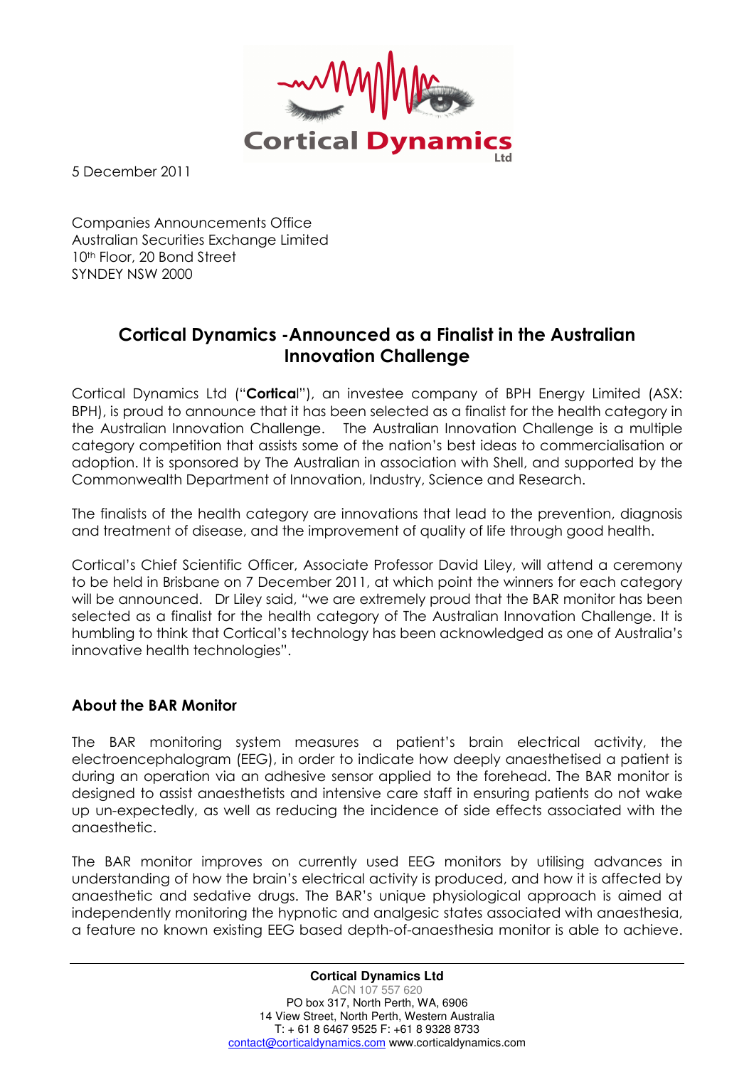

5 December 2011

Companies Announcements Office Australian Securities Exchange Limited 10<sup>th</sup> Floor, 20 Bond Street SYNDEY NSW 2000

## Cortical Dynamics -Announced as a Finalist in the Australian Innovation Challenge

Cortical Dynamics Ltd ("Cortical"), an investee company of BPH Energy Limited (ASX: BPH), is proud to announce that it has been selected as a finalist for the health category in the Australian Innovation Challenge. The Australian Innovation Challenge is a multiple category competition that assists some of the nation's best ideas to commercialisation or adoption. It is sponsored by The Australian in association with Shell, and supported by the Commonwealth Department of Innovation, Industry, Science and Research.

The finalists of the health category are innovations that lead to the prevention, diagnosis and treatment of disease, and the improvement of quality of life through good health.

Cortical's Chief Scientific Officer, Associate Professor David Liley, will attend a ceremony to be held in Brisbane on 7 December 2011, at which point the winners for each category will be announced. Dr Liley said, "we are extremely proud that the BAR monitor has been selected as a finalist for the health category of The Australian Innovation Challenge. It is humbling to think that Cortical's technology has been acknowledged as one of Australia's innovative health technologies".

## About the BAR Monitor

The BAR monitoring system measures a patient's brain electrical activity, the electroencephalogram (EEG), in order to indicate how deeply anaesthetised a patient is during an operation via an adhesive sensor applied to the forehead. The BAR monitor is designed to assist anaesthetists and intensive care staff in ensuring patients do not wake up un-expectedly, as well as reducing the incidence of side effects associated with the anaesthetic.

The BAR monitor improves on currently used EEG monitors by utilising advances in understanding of how the brain's electrical activity is produced, and how it is affected by anaesthetic and sedative drugs. The BAR's unique physiological approach is aimed at independently monitoring the hypnotic and analgesic states associated with anaesthesia, a feature no known existing EEG based depth-of-anaesthesia monitor is able to achieve.